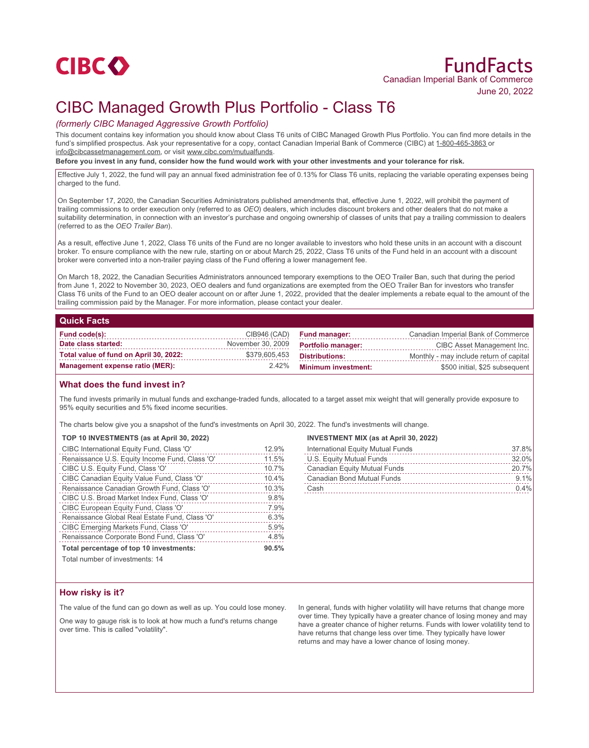

# CIBC Managed Growth Plus Portfolio - Class T6

# *(formerly CIBC Managed Aggressive Growth Portfolio)*

This document contains key information you should know about Class T6 units of CIBC Managed Growth Plus Portfolio. You can find more details in the fund's simplified prospectus. Ask your representative for a copy, contact Canadian Imperial Bank of Commerce (CIBC) at 1-800-465-3863 or info@cibcassetmanagement.com, or visit www.cibc.com/mutualfunds.

**Before you invest in any fund, consider how the fund would work with your other investments and your tolerance for risk.**

Effective July 1, 2022, the fund will pay an annual fixed administration fee of 0.13% for Class T6 units, replacing the variable operating expenses being charged to the fund.

On September 17, 2020, the Canadian Securities Administrators published amendments that, effective June 1, 2022, will prohibit the payment of trailing commissions to order execution only (referred to as *OEO*) dealers, which includes discount brokers and other dealers that do not make a suitability determination, in connection with an investor's purchase and ongoing ownership of classes of units that pay a trailing commission to dealers (referred to as the *OEO Trailer Ban*).

As a result, effective June 1, 2022, Class T6 units of the Fund are no longer available to investors who hold these units in an account with a discount broker. To ensure compliance with the new rule, starting on or about March 25, 2022, Class T6 units of the Fund held in an account with a discount broker were converted into a non-trailer paying class of the Fund offering a lower management fee.

On March 18, 2022, the Canadian Securities Administrators announced temporary exemptions to the OEO Trailer Ban, such that during the period from June 1, 2022 to November 30, 2023, OEO dealers and fund organizations are exempted from the OEO Trailer Ban for investors who transfer Class T6 units of the Fund to an OEO dealer account on or after June 1, 2022, provided that the dealer implements a rebate equal to the amount of the trailing commission paid by the Manager. For more information, please contact your dealer.

## **Quick Facts**

| Fund code(s):                          | CIB946 (CAD)      | <b>Fund manager:</b>       | Canadian Imperial Bank of Commerce      |
|----------------------------------------|-------------------|----------------------------|-----------------------------------------|
| Date class started:                    | November 30, 2009 | <b>Portfolio manager:</b>  | CIBC Asset Management Inc.              |
| Total value of fund on April 30, 2022: | \$379,605,453     | Distributions:             | Monthly - may include return of capital |
| Management expense ratio (MER):        | 2.42%             | <b>Minimum investment:</b> | \$500 initial, \$25 subsequent          |

## **What does the fund invest in?**

The fund invests primarily in mutual funds and exchange-traded funds, allocated to a target asset mix weight that will generally provide exposure to 95% equity securities and 5% fixed income securities.

The charts below give you a snapshot of the fund's investments on April 30, 2022. The fund's investments will change.

# **TOP 10 INVESTMENTS (as at April 30, 2022)**

| CIBC International Equity Fund, Class 'O'      | 12.9% |
|------------------------------------------------|-------|
| Renaissance U.S. Equity Income Fund, Class 'O' | 11.5% |
| CIBC U.S. Equity Fund, Class 'O'               | 10.7% |
| CIBC Canadian Equity Value Fund, Class 'O'     | 10.4% |
| Renaissance Canadian Growth Fund, Class 'O'    | 10.3% |
| CIBC U.S. Broad Market Index Fund, Class 'O'   | 9.8%  |
| CIBC European Equity Fund, Class 'O'           | 7.9%  |
| Renaissance Global Real Estate Fund, Class 'O' | 6.3%  |
| CIBC Emerging Markets Fund, Class 'O'          | 5.9%  |
| Renaissance Corporate Bond Fund, Class 'O'     | 4.8%  |
| Total percentage of top 10 investments:        | 90.5% |

#### **INVESTMENT MIX (as at April 30, 2022)**

| International Equity Mutual Funds | 37.8% |
|-----------------------------------|-------|
| U.S. Equity Mutual Funds          | 32.0% |
| Canadian Equity Mutual Funds      | 20.7% |
| Canadian Bond Mutual Funds        | 9.1%  |
| Cash                              | 0.4%  |

Total number of investments: 14

## **How risky is it?**

The value of the fund can go down as well as up. You could lose money.

One way to gauge risk is to look at how much a fund's returns change over time. This is called "volatility".

In general, funds with higher volatility will have returns that change more over time. They typically have a greater chance of losing money and may have a greater chance of higher returns. Funds with lower volatility tend to have returns that change less over time. They typically have lower returns and may have a lower chance of losing money.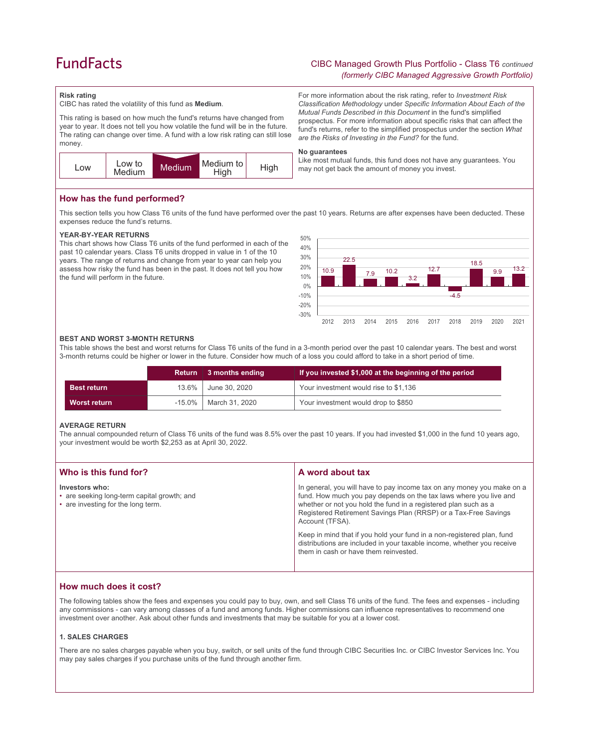# **FundFacts**

# CIBC Managed Growth Plus Portfolio - Class T6 *continued (formerly CIBC Managed Aggressive Growth Portfolio)*

For more information about the risk rating, refer to *Investment Risk Classification Methodology* under *Specific Information About Each of the Mutual Funds Described in this Document* in the fund's simplified prospectus. For more information about specific risks that can affect the fund's returns, refer to the simplified prospectus under the section *What* 

*are the Risks of Investing in the Fund?* for the fund.

## **Risk rating**

CIBC has rated the volatility of this fund as **Medium**.

This rating is based on how much the fund's returns have changed from year to year. It does not tell you how volatile the fund will be in the future. The rating can change over time. A fund with a low risk rating can still lose money.



# **How has the fund performed?**

This section tells you how Class T6 units of the fund have performed over the past 10 years. Returns are after expenses have been deducted. These expenses reduce the fund's returns.

#### **YEAR-BY-YEAR RETURNS**

This chart shows how Class T6 units of the fund performed in each of the past 10 calendar years. Class T6 units dropped in value in 1 of the 10 years. The range of returns and change from year to year can help you assess how risky the fund has been in the past. It does not tell you how the fund will perform in the future.



#### **BEST AND WORST 3-MONTH RETURNS**

This table shows the best and worst returns for Class T6 units of the fund in a 3-month period over the past 10 calendar years. The best and worst 3-month returns could be higher or lower in the future. Consider how much of a loss you could afford to take in a short period of time.

|                    |           | Return 3 months ending | If you invested \$1,000 at the beginning of the period |
|--------------------|-----------|------------------------|--------------------------------------------------------|
| <b>Best return</b> | 13.6%     | June 30, 2020          | Your investment would rise to \$1,136                  |
| Worst return       | $-15.0\%$ | March 31, 2020         | Your investment would drop to \$850                    |

#### **AVERAGE RETURN**

The annual compounded return of Class T6 units of the fund was 8.5% over the past 10 years. If you had invested \$1,000 in the fund 10 years ago, your investment would be worth \$2,253 as at April 30, 2022.

| Who is this fund for?                                                                               | A word about tax                                                                                                                                                                                                                                                                                     |
|-----------------------------------------------------------------------------------------------------|------------------------------------------------------------------------------------------------------------------------------------------------------------------------------------------------------------------------------------------------------------------------------------------------------|
| Investors who:<br>• are seeking long-term capital growth; and<br>• are investing for the long term. | In general, you will have to pay income tax on any money you make on a<br>fund. How much you pay depends on the tax laws where you live and<br>whether or not you hold the fund in a registered plan such as a<br>Registered Retirement Savings Plan (RRSP) or a Tax-Free Savings<br>Account (TFSA). |
|                                                                                                     | Keep in mind that if you hold your fund in a non-registered plan, fund<br>distributions are included in your taxable income, whether you receive<br>them in cash or have them reinvested.                                                                                                            |

## **How much does it cost?**

The following tables show the fees and expenses you could pay to buy, own, and sell Class T6 units of the fund. The fees and expenses - including any commissions - can vary among classes of a fund and among funds. Higher commissions can influence representatives to recommend one investment over another. Ask about other funds and investments that may be suitable for you at a lower cost.

#### **1. SALES CHARGES**

There are no sales charges payable when you buy, switch, or sell units of the fund through CIBC Securities Inc. or CIBC Investor Services Inc. You may pay sales charges if you purchase units of the fund through another firm.